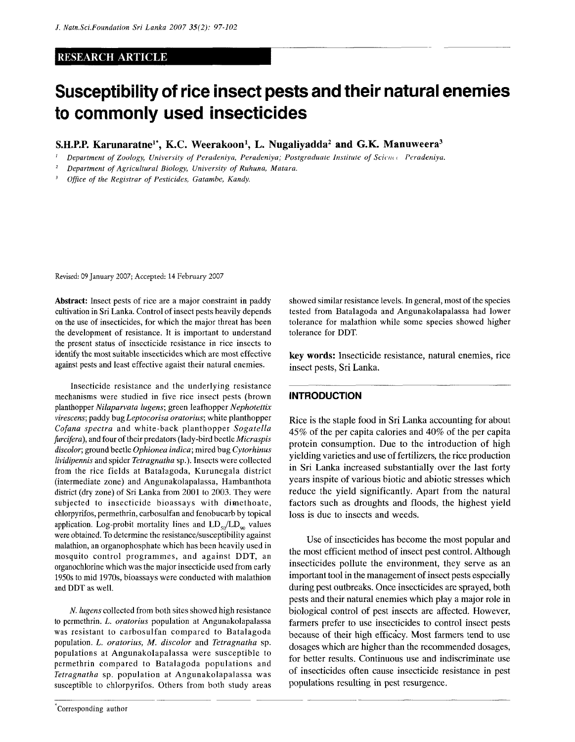#### RESEARCH ARTICLE

# **Susceptibility of rice insect pests and their natural enemies to commonly used insecticides**

S.H.P.P. Karunaratne<sup>1\*</sup>, K.C. Weerakoon<sup>1</sup>, L. Nugaliyadda<sup>2</sup> and G.K. Manuweera<sup>3</sup>

*1 Department of Zoology, University of Peradeniya, Peradeniya; Postgraduate Institute of Scic/ut Peradeniya.* 

*2 Department of Agricultural Biology, University of Ruhuna, Matara.* 

*3 Office of the Registrar of Pesticides, Gatambe, Kandy.* 

Revised: 09 January 2007; Accepted: 14 February 2007

Abstract: Insect pests of rice are a major constraint in paddy cultivation in Sri Lanka. Control of insect pests heavily depends on the use of insecticides, for which the major threat has been the development of resistance. It is important to understand the present status of insecticide resistance in rice insects to identify the most suitable insecticides which are most effective against pests and least effective agaist their natural enemies.

Insecticide resistance and the underlying resistance mechanisms were studied in five rice insect pests (brown planthopper *Nilaparvata lugens;* green leafhopper *Nephotettix virescens;* paddy bug *Leptocorisa oratorius;* white planthopper *Cofana spectra* and white-back planthopper *Sogatella furcifera),* and four of their predators (lady-bird beetle *Micraspis discolor,* ground beetle *Ophionea indica;* mired bug *Cytorhinus lividipennis* and spider *Tetragnatha* sp.). Insects were collected from the rice fields at Batalagoda, Kurunegala district (intermediate zone) and Angunakolapalassa, Hambanthota district (dry zone) of Sri Lanka from 2001 to 2003. They were subjected to insecticide bioassays with dimethoate, chlorpyrifos, permethrin, carbosulfan and fenobucarb by topical application. Log-probit mortality lines and  $LD_{50}/LD_{90}$  values were obtained. To determine the resistance/susceptibility against malathion, an organophosphate which has been heavily used in mosquito control programmes, and against DDT, an organochlorine which was the major insecticide used from early 1950s to mid 1970s, bioassays were conducted with malathion and DDT as well.

*N. lugens* collected from both sites showed high resistance to permethrin. *L. oratorius* population at Angunakolapalassa was resistant to carbosulfan compared to Batalagoda population. *L. oratorius, M. discolor* and *Tetragnatha* sp. populations at Angunakolapalassa were susceptible to permethrin compared to Batalagoda populations and *Tetragnatha* sp. population at Angunakolapalassa was susceptible to chlorpyrifos. Others from both study areas showed similar resistance levels. In general, most of the species tested from Batalagoda and Angunakolapalassa had lower tolerance for malathion while some species showed higher tolerance for DDT.

key words: Insecticide resistance, natural enemies, rice insect pests, Sri Lanka.

#### **INTRODUCTION**

Rice is the staple food in Sri Lanka accounting for about 45% of the per capita calories and 40% of the per capita protein consumption. Due to the introduction of high yielding varieties and use of fertilizers, the rice production in Sri Lanka increased substantially over the last forty years inspite of various biotic and abiotic stresses which reduce the yield significantly. Apart from the natural factors such as droughts and floods, the highest yield loss is due to insects and weeds.

Use of insecticides has become the most popular and the most efficient method of insect pest control. Although insecticides pollute the environment, they serve as an important tool in the management of insect pests especially during pest outbreaks. Once insecticides are sprayed, both pests and their natural enemies which play a major role in biological control of pest insects are affected. However, farmers prefer to use insecticides to control insect pests because of their high efficacy. Most farmers tend to use dosages which are higher than the recommended dosages, for better results. Continuous use and indiscriminate use of insecticides often cause insecticide resistance in pest populations resulting in pest resurgence.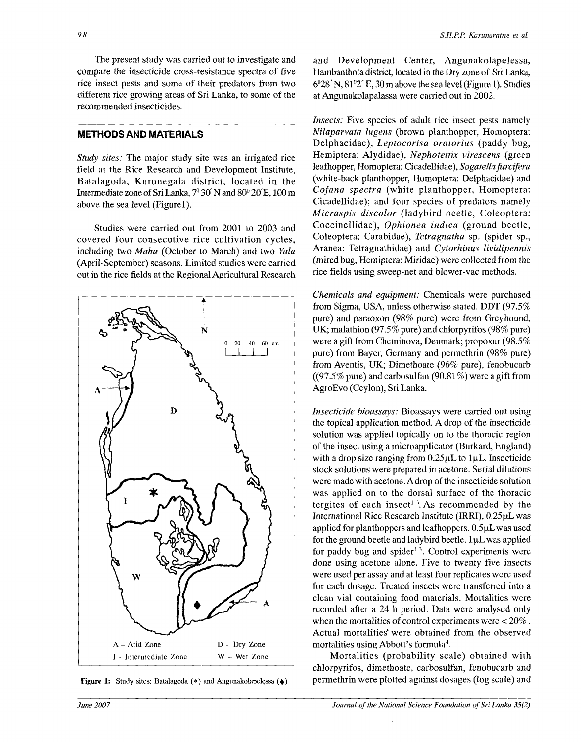*98* 

The present study was carried out to investigate and compare the insecticide cross-resistance spectra of five rice insect pests and some of their predators from two different rice growing areas of Sri Lanka, to some of the recommended insecticides.

### METHODS AND MATERIALS

*Study sites:* The major study site was an irrigated rice field at the Rice Research and Development Institute, Batalagoda, Kurunegala district, located in the Intermediate zone of Sri Lanka,  $7^{\circ}30'$  N and  $80^{\circ}20'E$ , 100 m above the sea level (Figurel).

Studies were carried out from 2001 to 2003 and covered four consecutive rice cultivation cycles, including two *Maha* (October to March) and two *Yala*  (April-September) seasons. Limited studies were carried out in the rice fields at the Regional Agricultural Research



**Figure 1:** Study sites: Batalagoda (\*) and Angunakolapelessa (•)

and Development Center, Angunakolapelessa, Hambanthota district, located in the Dry zone of Sri Lanka, 6°28' N, 81°2' E, 30 m above the sea level (Figure 1). Studies at Angunakolapalassa were carried out in 2002.

*Insects:* Five species of adult rice insect pests namely *Nilaparvata lugens* (brown planthopper, Homoptera: Delphacidae), *Leptocorisa oratorius* (paddy bug, Hemiptera: Alydidae), *Nephotettix virescens* (green leafhopper, Homoptera: Cicadellidae), *Sogatellafurcifera*  (white-back planthopper, Homoptera: Delphacidae) and *Cofana spectra* (white planthopper, Homoptera: Cicadellidae); and four species of predators namely *Micraspis discolor* (ladybird beetle, Coleoptera: Coccinellidae), *Ophionea indica* (ground beetle, Coleoptera: Carabidae), *Tetragnatha* sp. (spider sp., Aranea: Tetragnathidae) and *Cytorhinus lividipennis*  (mired bug, Hemiptera: Miridae) were collected from the rice fields using sweep-net and blower-vac methods.

*Chemicals and equipment:* Chemicals were purchased from Sigma, USA, unless otherwise stated. DDT (97.5% pure) and paraoxon (98% pure) were from Greyhound, UK; malathion (97.5% pure) and chlorpyrifos (98% pure) were a gift from Cheminova, Denmark; propoxur (98.5% pure) from Bayer, Germany and permethrin (98% pure) from Aventis, UK; Dimethoate (96% pure), fenobucarb ((97.5% pure) and carbosulfan (90.81%) were a gift from AgroEvo (Ceylon), Sri Lanka.

*Insecticide bioassays:* Bioassays were carried out using the topical application method. A drop of the insecticide solution was applied topically on to the thoracic region of the insect using a microapplicator (Burkard, England) with a drop size ranging from  $0.25 \mu L$  to  $1 \mu L$ . Insecticide stock solutions were prepared in acetone. Serial dilutions were made with acetone. Adrop of the insecticide solution was applied on to the dorsal surface of the thoracic tergites of each insect<sup>1-3</sup>. As recommended by the International Rice Research Institute (IRRI), 0.25uL was applied for planthoppers and leafhoppers. 0.5 $\mu$ L was used for the ground beetle and ladybird beetle. luE was applied for paddy bug and spider<sup>13</sup>. Control experiments were done using acetone alone. Five to twenty five insects were used per assay and at least four replicates were used for each dosage. Treated insects were transferred into a clean vial containing food materials. Mortalities were recorded after a 24 h period. Data were analysed only when the mortalities of control experiments were < 20% . Actual mortalities were obtained from the observed mortalities using Abbott's formula<sup>4</sup>.

Mortalities (probability scale) obtained with chlorpyrifos, dimethoate, carbosulfan, fenobucarb and permethrin were plotted against dosages (log scale) and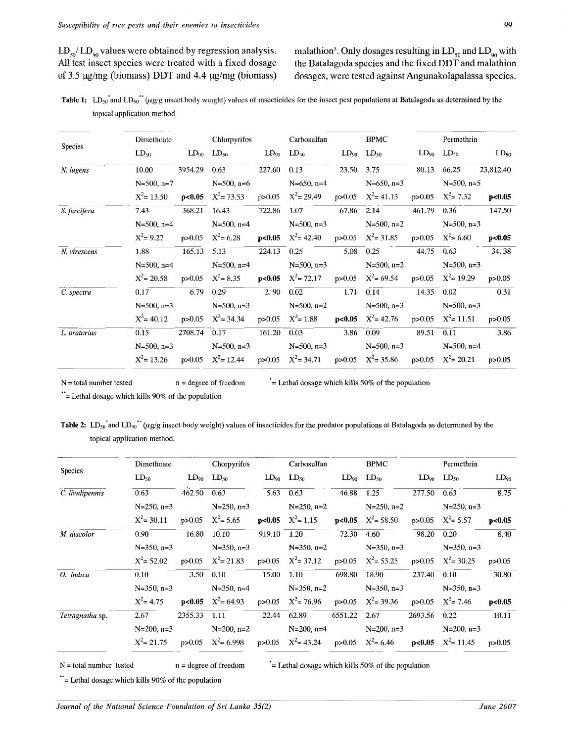$LD_{50}/LD_{90}$  values were obtained by regression analysis.<br>All test insect species were treated with a fixed dosage

. Only dosages resulting in  $LD_{50}$  and  $LD_{90}$  with All test insect species were treated with a fixed dosage the Batalagoda species and the fixed DDT and malathion of 3.5  $\mu$ g/mg (biomass) DDT and 4.4  $\mu$ g/mg (biomass) dosages, were tested against Angunakolapalassa speci dosages, were tested against Angunakolapalassa species.

Table 1:  $LD_{50}$  and  $LD_{90}$  ( $\mu$ g/g insect body weight) values of insecticides for the insect pest populations at Batalagoda as determined by the topical application method

|                | Dimethoate      |              | Chlorpyrifos           |             | Carbosulfan                                                                         |            | <b>BPMC</b>         | Permethrin |                          |           |  |  |
|----------------|-----------------|--------------|------------------------|-------------|-------------------------------------------------------------------------------------|------------|---------------------|------------|--------------------------|-----------|--|--|
| <b>Species</b> | $LD_{50}$       |              | $LD_{90}$ $LD_{50}$    |             | $LD_{90}$ $LD_{50}$                                                                 |            | $LD_{90}$ $LD_{50}$ |            | $LD_{90}$ $LD_{50}$      | $LD_{90}$ |  |  |
| N. lugens      | 10.00           | 3954.29      | 0.63                   | 227.60      | 0.13                                                                                | 23.50      | 3.75                |            | 80.13 66.25              | 23,812.40 |  |  |
|                | $N=500$ , n=7   |              | $N=500$ , n=6          |             | $N=650$ , n=4                                                                       |            | $N=650$ , n=3       |            | $N=500$ , n=5            |           |  |  |
|                | $X^2$ = 13.50   |              | $p<0.05$ $X^2 = 73.53$ |             | $p > 0.05$ $X^2 = 29.49$ $p > 0.05$ $X^2 = 41.13$                                   |            |                     |            | $p > 0.05$ $X^2 = 7.32$  | p<0.05    |  |  |
| S. furcifera   | 7.43            |              | 368.21 16.43           | 722.86      | 1.07                                                                                | 67.86 2.14 |                     | 461.79     | 0.36                     | 147.50    |  |  |
|                | $N=500$ , n=4   |              | $N = 500$ , n=4        |             | $N=500$ , n=3                                                                       |            | $N = 500$ , n=2     |            | $N=500$ , n=3            |           |  |  |
|                | $X^2 = 9.27$    | p > 0.05     | $X^2 = 6.28$           |             | <b>p&lt;0.05</b> $X^2 = 42.40$ p>0.05 $X^2 = 31.85$                                 |            |                     |            | $p > 0.05$ $X^2 = 6.60$  | p<0.05    |  |  |
| N. virescens   | 1.88            | 165.13       | 5.13                   |             | 224.13 0.25                                                                         |            | 5.08 0.25           | 44.75 0.63 |                          | 34.38     |  |  |
|                | $N=500$ , n=4   |              | $N=500$ , n=4          |             | $N = 500$ , n=3                                                                     |            | $N=500$ , n=2       |            | $N = 500$ , n=3          |           |  |  |
|                | $X^2$ = 20.58   | p > 0.05     |                        |             | $X^2 = 8.35$ p<0.05 $X^2 = 72.17$ p>0.05 $X^2 = 69.54$                              |            |                     |            | $p > 0.05$ $X^2 = 19.29$ | p > 0.05  |  |  |
| C. spectra     | 0.17            | 6.79         | 0.29                   | 2.90        | 0.02                                                                                | 1.71       | 0.14                |            | 14.35 0.02               | 0.31      |  |  |
|                | $N=500$ , n=3   |              | $N=500$ , n=3          |             | $N=500$ , n=2                                                                       |            | $N = 500$ , n=3     |            | $N=500$ , n=3            |           |  |  |
|                | $X^2$ = 40.12   | p > 0.05     | $X^2 = 34.34$          |             | $p > 0.05$ $X^2 = 1.88$ $p < 0.05$ $X^2 = 42.76$ $p > 0.05$ $X^2 = 11.51$           |            |                     |            |                          | p > 0.05  |  |  |
| L. oratorius   | 0.15            | 2708.74 0.17 |                        | 161.20 0.03 |                                                                                     |            | $3.86$ 0.09         | 89.51      | 0.11                     | 3.86      |  |  |
|                | $N=500$ , $n=3$ |              | $N = 500$ , n=3        |             | $N=500$ , n=3                                                                       |            | $N=500$ , n=3       |            | $N = 500$ , n=4          |           |  |  |
|                | $X^2$ = 13.26   |              |                        |             | p>0.05 $X^2 = 12.44$ p>0.05 $X^2 = 34.71$ p>0.05 $X^2 = 35.86$ p>0.05 $X^2 = 20.21$ |            |                     |            |                          | p > 0.05  |  |  |

 $N =$  total number tested  $n =$  degree of freedom  $\epsilon =$  Lethal dosage which kills 50% of the population

\*\*= Lethal dosage which kills 90% of the population

Table 2: LD<sub>50</sub><sup>\*</sup> and LD<sub>90</sub><sup>\*\*</sup> (wg/g insect body weight) values of insecticides for the predator populations at Batalagoda as determined by the topical application method.

|                 | Dimethoate                         |             | Chorpyrifos                        |             | Carbosulfan                                                  |              | <b>BPMC</b>         |               | Permethrin                       |           |  |
|-----------------|------------------------------------|-------------|------------------------------------|-------------|--------------------------------------------------------------|--------------|---------------------|---------------|----------------------------------|-----------|--|
| <b>Species</b>  | $LD_{50}$                          |             | $LD_{90}$ $LD_{50}$                |             | $LD_{90}$ $LD_{50}$                                          |              | $LD_{90}$ $LD_{50}$ |               | $LD_{90}$ $LD_{50}$              | $LD_{90}$ |  |
| C. lividipennis | 0.63                               | 462.50 0.63 |                                    | 5.63        | 0.63                                                         | 46.88        | 1.25                | 277.50        | 0.63                             | 8.75      |  |
|                 | $N=250$ , $n=3$                    |             | $N=250$ , n=3                      |             | $N=250$ , n=2                                                |              | $N=250, n=2$        |               | $N=250$ , n=3                    |           |  |
|                 | $X^2$ = 30.11                      |             | $p > 0.05$ $X^2 = 5.65$            |             | <b>p&lt;0.05</b> $X^2 = 1.15$ <b>p&lt;0.05</b> $X^2 = 58.50$ |              |                     |               | $p > 0.05$ $X^2 = 5.57$          | p<0.05    |  |
| M. discolor     | 0.90                               | 16.80       | 10.10                              | 919.10 1.20 |                                                              | 72.30        | 4.60                | 98.20         | 0.20                             | 8.40      |  |
|                 | $N=350$ , n=3                      |             | $N=350$ , $n=3$                    |             | $N=350$ , n=2                                                |              | $N=350$ , $n=3$     |               | $N=350$ , $n=3$                  |           |  |
|                 | $X^2 = 52.02$ p>0.05 $X^2 = 21.83$ |             |                                    |             | $p > 0.05$ $X^2 = 37.12$ $p > 0.05$ $X^2 = 53.25$            |              |                     |               | $p > 0.05$ $X^2 = 30.25$         | p > 0.05  |  |
| O. indica       | 0.10                               |             | $3.50 \quad 0.10$                  | 15.00 1.10  |                                                              | 698.80 18.90 |                     | 237.40 0.10   |                                  | 30.80     |  |
|                 | $N=350, n=3$                       |             |                                    |             | $N=350, n=2$                                                 |              | $N=350$ , $n=3$     |               | $N=350, n=3$                     |           |  |
|                 | $X^2 = 4.75$                       |             | $\mathbf{p}$ <0.05 $X^2 = 64.93$   |             | $p>0.05$ $X^2 = 76.96$ $p>0.05$ $X^2 = 39.36$                |              |                     |               | $p > 0.05$ $X^2 = 7.46$          | p<0.05    |  |
| Tetragnatha sp. | 2.67                               | 2355.33     | 1.11                               |             | 22.44 62.89                                                  |              | 6551.22 2.67        | 2693.56       | 0.22                             | 10.11     |  |
|                 | $N=200$ , $n=3$                    |             | $N=200, n=2$                       |             | $N=200$ , n=4                                                |              | $N=200, n=3$        | $N=200$ , n=3 |                                  |           |  |
|                 |                                    |             | $X^2 = 21.75$ p>0.05 $X^2 = 6.998$ |             | $p>0.05$ $X^2 = 43.24$ $p>0.05$ $X^2 = 6.46$                 |              |                     |               | $\mathbf{p}$ <0.05 $X^2$ = 11.45 | p > 0.05  |  |

 $N =$  total number tested  $n =$  degree of freedom  $\epsilon$  = Lethal dosage which kills 50% of the population

\*\*= Lethal dosage which kills 90% of the population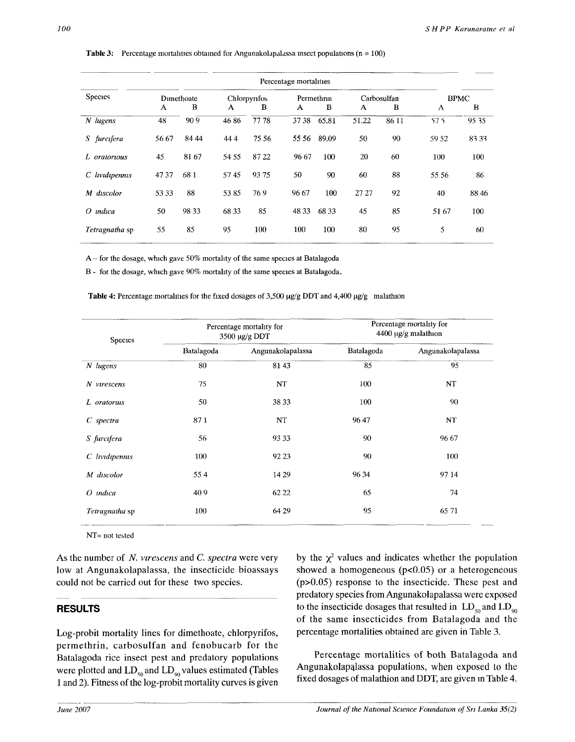|                    | Percentage mortalities |            |              |       |       |            |       |             |              |       |  |  |  |
|--------------------|------------------------|------------|--------------|-------|-------|------------|-------|-------------|--------------|-------|--|--|--|
| <b>Species</b>     |                        | Dimethoate | Chlorpyrifos |       |       | Permethrin |       | Carbosulfan | <b>BPMC</b>  |       |  |  |  |
|                    | A                      | B          | A            | в     | A     | B          | A     | B           | $\mathbf{A}$ | B     |  |  |  |
| $N$ lugens         | 48                     | 909        | 4686         | 7778  | 3738  | 65.81      | 51.22 | 86 11       | 57.5         | 95 35 |  |  |  |
| furcifera<br>S.    | 56 67                  | 84 44      | 444          | 75 56 | 55 56 | 89.09      | 50    | 90          | 59.52        | 83.33 |  |  |  |
| L oratorious       | 45                     | 81 67      | 54 55        | 8722  | 96 67 | 100        | 20    | 60          | 100          | 100   |  |  |  |
| $C$ lividipennis   | 4737                   | 681        | 5745         | 9375  | 50    | 90         | 60    | 88          | 55 56        | 86    |  |  |  |
| discolor<br>M      | 53 33                  | 88         | 5385         | 769   | 96.67 | 100        | 27 27 | 92          | 40           | 88 46 |  |  |  |
| <i>indica</i><br>Ω | 50                     | 98 33      | 68 33        | 85    | 48 33 | 68 33      | 45    | 85          | 51 67        | 100   |  |  |  |
| Tetragnatha sp     | 55                     | 85         | 95           | 100   | 100   | 100        | 80    | 95          | 5            | 60    |  |  |  |

**Table 3:** Percentage mortalities obtained for Angunakolapalassa insect populations ( $n = 100$ )

A - for the dosage, which gave 50% mortality of the same species at Batalagoda

B - for the dosage, which gave 90% mortality of the same species at Batalagoda.

Table 4: Percentage mortalities for the fixed dosages of 3,500 µg/g DDT and 4,400 µg/g malathion

| <b>Species</b>    |            | Percentage mortality for<br>3500 µg/g DDT | Percentage mortality for<br>4400 µg/g malathion |                         |  |  |  |  |
|-------------------|------------|-------------------------------------------|-------------------------------------------------|-------------------------|--|--|--|--|
|                   | Batalagoda | Angunakolapalassa                         | Batalagoda                                      | Angunakolapalassa<br>95 |  |  |  |  |
| $N$ lugens        | 80         | 81 43                                     | 85                                              |                         |  |  |  |  |
| N virescens       | 75         | NT                                        | 100                                             | NT                      |  |  |  |  |
| L oratorus        | 50         | 38 33                                     | 100                                             | 90                      |  |  |  |  |
| $C$ spectra       | 871        | NT                                        | 9647                                            | NT                      |  |  |  |  |
| S furcifera       | 56         | 9333                                      | 90                                              | 96 67                   |  |  |  |  |
| $C$ lividipennis  | 100        | 92 23                                     | 90                                              | 100                     |  |  |  |  |
| M discolor        | 554        | 14 29                                     | 96 34                                           | 9714                    |  |  |  |  |
| $O$ <i>indica</i> | 409        | 62 22                                     | 65                                              | 74                      |  |  |  |  |
| Tetragnatha sp    | 100        | 64 29                                     | 95                                              | 65 71                   |  |  |  |  |
|                   |            |                                           |                                                 |                         |  |  |  |  |

NT= not tested

As the number of *N. virescens* and *C. spectra* were very low at Angunakolapalassa, the insecticide bioassays could not be carried out for these two species.

# **RESULTS**

Log-probit mortality lines for dimethoate, chlorpyrifos, permethrin, carbosulfan and fenobucarb for the Batalagoda rice insect pest and predatory populations were plotted and  $LD_{50}$  and  $LD_{90}$  values estimated (Tables 1 and 2). Fitness of the log-probit mortality curves is given

by the  $\chi^2$  values and indicates whether the population showed a homogeneous  $(p<0.05)$  or a heterogeneous (p>0.05) response to the insecticide. These pest and predatory species from Angunakolapalassa were exposed to the insecticide dosages that resulted in  $LD_{50}$  and  $LD_{90}$ of the same insecticides from Batalagoda and the percentage mortalities obtained are given in Table 3.

Percentage mortalities of both Batalagoda and Angunakolapalassa populations, when exposed to the fixed dosages of malathion and DDT, are given in Table 4.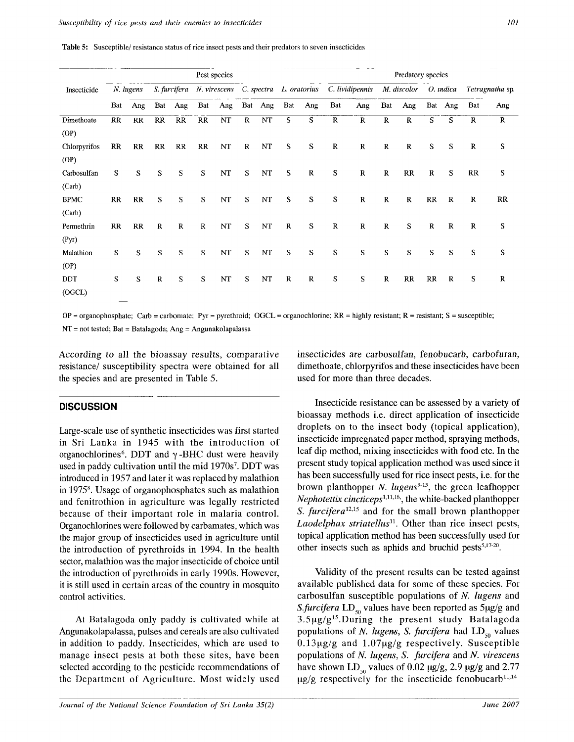|  |  |  | Table 5: Susceptible/ resistance status of rice insect pests and their predators to seven insecticides |
|--|--|--|--------------------------------------------------------------------------------------------------------|
|--|--|--|--------------------------------------------------------------------------------------------------------|

|                       |             |           |          |              |              | Pest species            |             |          |             |              | Predatory species |                 |              |                       |             |             |              |                        |
|-----------------------|-------------|-----------|----------|--------------|--------------|-------------------------|-------------|----------|-------------|--------------|-------------------|-----------------|--------------|-----------------------|-------------|-------------|--------------|------------------------|
| Insecticide           |             | N. lugens |          | S. furcifera |              | N. virescens C. spectra |             |          |             | L. oratorius |                   | C. lividipennis |              | M. discolor O. indica |             |             |              | <i>Tetragnatha</i> sp. |
|                       | Bat         | Ang       | Bat      | Ang          | Bat          | Ang                     | Bat         | Ang      | Bat         | Ang          | Bat               | Ang             | Bat          | Ang                   | Bat         | Ang         | Bat          | Ang                    |
| Dimethoate<br>(OP)    | RR          | <b>RR</b> | RR       | RR           | RR           | NT                      | $\mathbf R$ | NT       | S           | S            | $\mathbf R$       | $\mathbb{R}$    | $\mathbb{R}$ | $\mathbb{R}$          | S           | S           | $\mathbb{R}$ | $\mathbf R$            |
| Chlorpyrifos<br>(OP)  | RR          | RR        | RR       | RR           | $_{\rm RR}$  | $\bf NT$                | $\bf R$     | NT       | S           | S            | $\bf R$           | $\bf R$         | $\mathbf R$  | $\bf R$               | S           | S           | $\bf R$      | S                      |
| Carbosulfan<br>(Carb) | S           | S         | S        | S            | S            | NT                      | S           | NT       | S           | $\bf R$      | S                 | $\mathbb{R}$    | $\mathbb{R}$ | RR                    | $\bf R$     | S           | RR           | S                      |
| <b>BPMC</b><br>(Carb) | RR          | RR        | S        | S            | S            | NT                      | S           | NT       | ${\bf S}$   | S            | S                 | ${\bf R}$       | $\mathbf R$  | $\mathbf R$           | RR          | $\mathbf R$ | $\bf R$      | RR                     |
| Permethrin<br>(Pyr)   | $_{\rm RR}$ | $_{RR}$   | $\bf R$  | $\mathbb{R}$ | $\mathbb{R}$ | NT                      | S           | $\bf NT$ | $\bf R$     | S            | $\, {\bf R}$      | $\, {\bf R}$    | $\mathbf R$  | S                     | $\mathbf R$ | $\mathbf R$ | $\mathbf R$  | S                      |
| Malathion<br>(OP)     | S           | S         | S        | S            | S            | $\bf NT$                | S           | $\bf NT$ | S           | S            | S                 | ${\bf S}$       | S            | S                     | S           | S           | S            | S                      |
| <b>DDT</b><br>(OGCL)  | S           | S         | $\bf{R}$ | S            | S            | NT                      | S           | NT       | $\mathbf R$ | ${\bf R}$    | S                 | S               | $\mathbb{R}$ | RR                    | $_{\rm RR}$ | $\bf R$     | S            | $\mathbf R$            |

 $OP =$  organophosphate; Carb = carbomate; Pyr = pyrethroid; OGCL = organochlorine; RR = highly resistant; R = resistant; S = susceptible;  $NT = not tested$ ;  $Bat = Batalogoda$ ;  $Ang = Angunakolapalassa$ 

According to all the bioassay results, comparative resistance/ susceptibility spectra were obtained for all the species and are presented in Table 5.

# **DISCUSSION**

Large-scale use of synthetic insecticides was first started in Sri Lanka in 1945 with the introduction of organochlorines<sup>6</sup> . DDT and *y* -BHC dust were heavily used in paddy cultivation until the mid 1970s<sup>7</sup>. DDT was introduced in 1957 and later it was replaced by malathion in 1975<sup>8</sup> . Usage of organophosphates such as malathion and fenitrothion in agriculture was legally restricted because of their important role in malaria control. Organochlorines were followed by carbamates, which was the major group of insecticides used in agriculture until the introduction of pyrethroids in 1994. In the health sector, malathion was the major insecticide of choice until the introduction of pyrethroids in early 1990s. However, it is still used in certain areas of the country in mosquito control activities.

At Batalagoda only paddy is cultivated while at Angunakolapalassa, pulses and cereals are also cultivated in addition to paddy. Insecticides, which are used to manage insect pests at both these sites, have been selected according to the pesticide recommendations of the Department of Agriculture. Most widely used insecticides are carbosulfan, fenobucarb, carbofuran, dimethoate, chlorpyrifos and these insecticides have been used for more than three decades.

Insecticide resistance can be assessed by a variety of bioassay methods i.e. direct application of insecticide droplets on to the insect body (topical application), insecticide impregnated paper method, spraying methods, leaf dip method, mixing insecticides with food etc. In the present study topical application method was used since it has been successfully used for rice insect pests, i.e. for the brown planthopper *N. lugens<sup>915</sup> ,* the green leafhopper *Nephotettix cincticeps<sup>11116</sup>\*,* the white-backed planthopper *S. furcifera<sup>1215</sup>* and for the small brown planthopper *Laodelphax striatellus<sup>11</sup> .* Other than rice insect pests, topical application method has been successfully used for other insects such as aphids and bruchid pests $5,17-20$ .

Validity of the present results can be tested against available published data for some of these species. For carbosulfan susceptible populations of *N. lugens* and *S.furcifera* LD<sub>50</sub> values have been reported as  $5\mu g/g$  and  $3.5\mu g/g^{15}$ . During the present study Batalagoda populations of *N. lugens*, *S. furcifera* had LD<sub>50</sub> values  $0.13\mu$ g/g and  $1.07\mu$ g/g respectively. Susceptible populations of *N lugens, S. furcifera* and *N. virescens*  have shown LD<sub>50</sub> values of 0.02  $\mu$ g/g, 2.9  $\mu$ g/g and 2.77  $\mu$ g/g respectively for the insecticide fenobucarb<sup>11,14</sup>